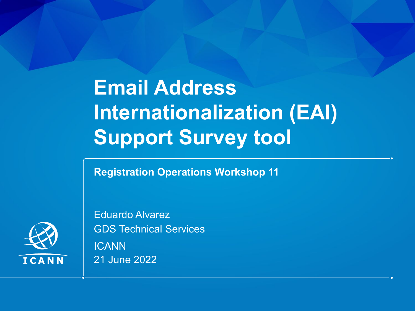# **Email Address Internationalization (EAI) Support Survey tool**

**Registration Operations Workshop 11**



Eduardo Alvarez GDS Technical Services **ICANN** 21 June 2022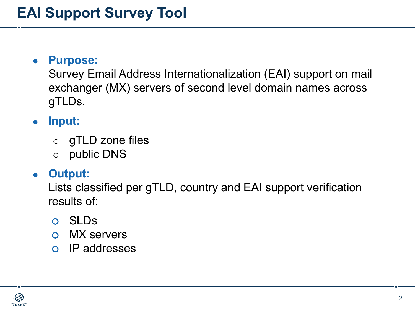#### ◉ **Purpose:**

Survey Email Address Internationalization (EAI) support on mail exchanger (MX) servers of second level domain names across gTLDs.

#### ◉ **Input:**

- ⚪ gTLD zone files
- ⚪ public DNS

#### ◉ **Output:**

Lists classified per gTLD, country and EAI support verification results of:

- ⚪ SLDs
- ⚪ MX servers
- ⚪ IP addresses

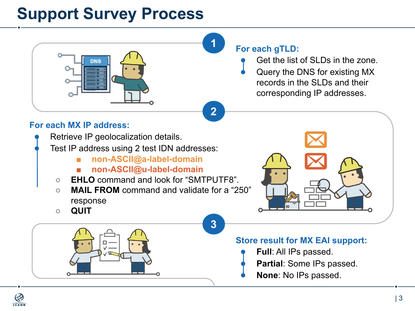### **Support Survey Process**

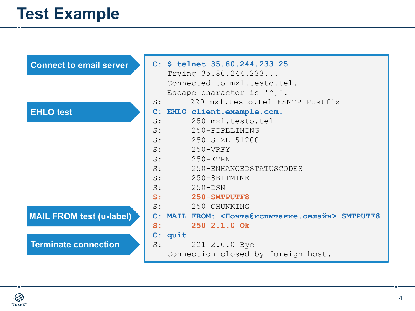### **Test Example**

| <b>Connect to email server</b>  | $C:$ \$ telnet 35.80.244.233 25<br>Trying 35.80.244.233<br>Connected to mx1.testo.tel.<br>Escape character is '^]'. |  |  |  |  |
|---------------------------------|---------------------------------------------------------------------------------------------------------------------|--|--|--|--|
|                                 | 220 mx1.testo.tel ESMTP Postfix<br>S:                                                                               |  |  |  |  |
| <b>EHLO test</b>                | C: EHLO client.example.com.                                                                                         |  |  |  |  |
|                                 | 250-mx1.testo.tel<br>$S$ :<br>S:<br>250-PIPELINING                                                                  |  |  |  |  |
|                                 | S:<br>250-SIZE 51200                                                                                                |  |  |  |  |
|                                 | $S$ :<br>$250 - VRFY$                                                                                               |  |  |  |  |
|                                 | S:<br>$250 - ETRN$                                                                                                  |  |  |  |  |
|                                 | S:<br>250-ENHANCEDSTATUSCODES                                                                                       |  |  |  |  |
|                                 | S:<br>250-8BITMIME                                                                                                  |  |  |  |  |
|                                 | S:<br>$250 -$ DSN                                                                                                   |  |  |  |  |
|                                 | S:<br>250-SMTPUTF8                                                                                                  |  |  |  |  |
|                                 | 250 CHUNKING<br>S:                                                                                                  |  |  |  |  |
| <b>MAIL FROM test (u-label)</b> | C: MAIL FROM: <Почта@испытание.онлайн> SMTPUTF8                                                                     |  |  |  |  |
|                                 | 250 2.1.0 Ok<br>$S:$ and $S:$                                                                                       |  |  |  |  |
|                                 | C: quit                                                                                                             |  |  |  |  |
| <b>Terminate connection</b>     | 221 2.0.0 Bye<br>S:                                                                                                 |  |  |  |  |
|                                 | Connection closed by foreign host.                                                                                  |  |  |  |  |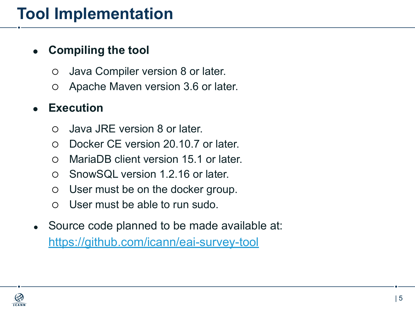### **Tool Implementation**

#### ◉ **Compiling the tool**

- ⚪ Java Compiler version 8 or later.
- ⚪ Apache Maven version 3.6 or later.

#### **Execution**

- ⚪ Java JRE version 8 or later.
- ⚪ Docker CE version 20.10.7 or later.
- ⚪ MariaDB client version 15.1 or later.
- ⚪ SnowSQL version 1.2.16 or later.
- ⚪ User must be on the docker group.
- ⚪ User must be able to run sudo.
- Source code planned to be made available at: <https://github.com/icann/eai-survey-tool>

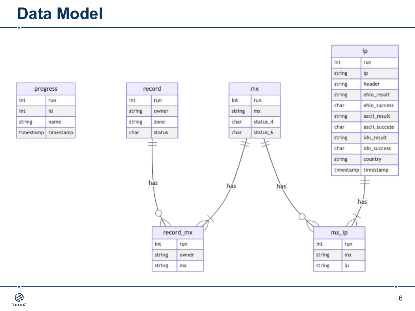| progress  |           |  |  |
|-----------|-----------|--|--|
| int       | run       |  |  |
| int       | id        |  |  |
| string    | name      |  |  |
| timestamp | timestamp |  |  |





ip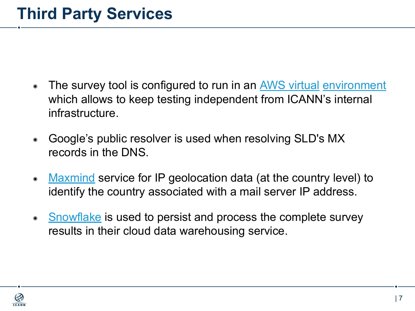- The survey tool is configured to run in an AWS virtual [environment](https://aws.amazon.com/marketplace/management/signin) which allows to keep testing independent from ICANN's internal infrastructure.
- Google's public resolver is used when resolving SLD's MX records in the DNS.
- [Maxmind](https://www.maxmind.com/en/geoip2-country-database) service for IP geolocation data (at the country level) to identify the country associated with a mail server IP address.
- [Snowflake](https://www.snowflake.com/) is used to persist and process the complete survey results in their cloud data warehousing service.

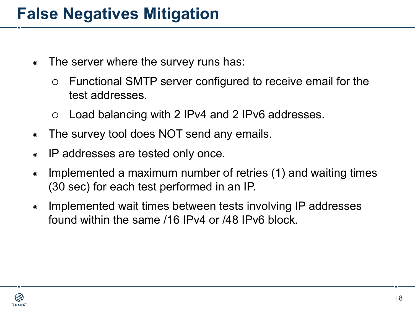#### **False Negatives Mitigation**

- The server where the survey runs has:
	- ⚪ Functional SMTP server configured to receive email for the test addresses.
	- ⚪ Load balancing with 2 IPv4 and 2 IPv6 addresses.
- The survey tool does NOT send any emails.
- IP addresses are tested only once.
- ◉ Implemented a maximum number of retries (1) and waiting times (30 sec) for each test performed in an IP.
- ◉ Implemented wait times between tests involving IP addresses found within the same /16 IPv4 or /48 IPv6 block.

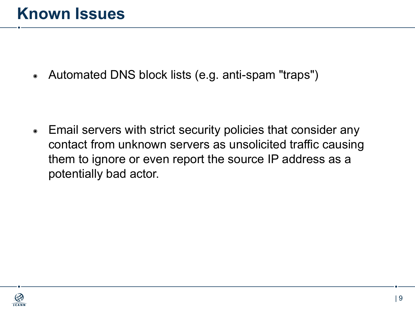Automated DNS block lists (e.g. anti-spam "traps")

■ Email servers with strict security policies that consider any contact from unknown servers as unsolicited traffic causing them to ignore or even report the source IP address as a potentially bad actor.

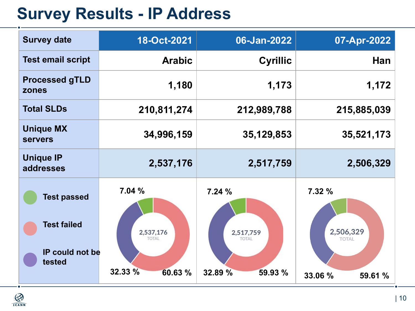### **Survey Results - IP Address**

| <b>Survey date</b>                                                    | 18-Oct-2021                                              | 06-Jan-2022                                              | 07-Apr-2022                                               |
|-----------------------------------------------------------------------|----------------------------------------------------------|----------------------------------------------------------|-----------------------------------------------------------|
| <b>Test email script</b>                                              | <b>Arabic</b>                                            | <b>Cyrillic</b>                                          | Han                                                       |
| <b>Processed gTLD</b><br>zones                                        | 1,180                                                    | 1,173                                                    | 1,172                                                     |
| <b>Total SLDs</b>                                                     | 210,811,274                                              | 212,989,788                                              | 215,885,039                                               |
| <b>Unique MX</b><br><b>servers</b>                                    | 34,996,159                                               | 35,129,853                                               | 35,521,173                                                |
| <b>Unique IP</b><br>addresses                                         | 2,537,176                                                | 2,517,759                                                | 2,506,329                                                 |
| <b>Test passed</b><br><b>Test failed</b><br>IP could not be<br>tested | 7.04%<br>2,537,176<br><b>TOTAL</b><br>32.33 %<br>60.63 % | 7.24%<br>2,517,759<br><b>TOTAL</b><br>32.89 %<br>59.93 % | 7.32 %<br>2,506,329<br><b>TOTAL</b><br>33.06 %<br>59.61 % |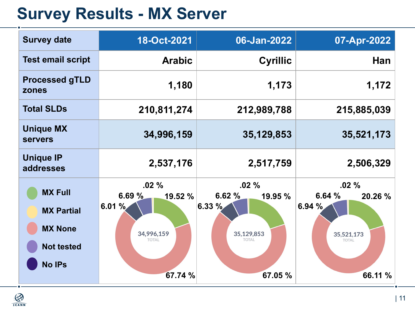### **Survey Results - MX Server**

| <b>Survey date</b>                                                                          | 18-Oct-2021                                                                | 06-Jan-2022                                                                   | 07-Apr-2022                                                                |
|---------------------------------------------------------------------------------------------|----------------------------------------------------------------------------|-------------------------------------------------------------------------------|----------------------------------------------------------------------------|
| <b>Test email script</b>                                                                    | <b>Arabic</b>                                                              | <b>Cyrillic</b>                                                               | Han                                                                        |
| <b>Processed gTLD</b><br>zones                                                              | 1,180                                                                      | 1,173                                                                         | 1,172                                                                      |
| <b>Total SLDs</b>                                                                           | 210,811,274                                                                | 212,989,788                                                                   | 215,885,039                                                                |
| <b>Unique MX</b><br><b>servers</b>                                                          | 34,996,159                                                                 | 35, 129, 853                                                                  | 35,521,173                                                                 |
| <b>Unique IP</b><br>addresses                                                               | 2,537,176                                                                  | 2,517,759                                                                     | 2,506,329                                                                  |
| <b>MX Full</b><br><b>MX Partial</b><br><b>MX None</b><br><b>Not tested</b><br><b>No IPs</b> | .02%<br>6.69 %<br>19.52%<br>6.01%<br>34,996,159<br><b>TOTAL</b><br>67.74 % | $.02\%$<br>6.62%<br>19.95 %<br>6.33%<br>35,129,853<br><b>TOTAL</b><br>67.05 % | .02%<br>6.64%<br>20.26 %<br>6.94%<br>35,521,173<br><b>TOTAL</b><br>66.11 % |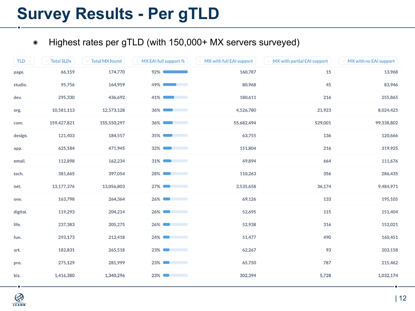### **Survey Results - Per gTLD**

#### ◉ Highest rates per gTLD (with 150,000+ MX servers surveyed)

| TLD $\vee$ | <b>Total SLDs</b> | <b>Total MX found</b> | $\vee$ MX EAI full support %                                                                                                     | MX with full EAI support | MX with partial EAI support | ↓ MX with no EAI support |
|------------|-------------------|-----------------------|----------------------------------------------------------------------------------------------------------------------------------|--------------------------|-----------------------------|--------------------------|
| page.      | 66,159            | 174,770               | $92\%$                                                                                                                           | 160,787                  | 15                          | 13,968                   |
| studio.    | 95,756            | 164,959               | $49\%$                                                                                                                           | 80,968                   | 45                          | 83,946                   |
| dev.       | 295,330           | 436,692               | $41\%$                                                                                                                           | 180,611                  | 216                         | 255,865                  |
| org.       | 10,581,113        | 12,573,128            | $36\%$                                                                                                                           | 4,526,780                | 21,923                      | 8,024,425                |
| com.       | 159,427,821       | 155,550,297           | $36\%$                                                                                                                           | 55,682,494               | 529,001                     | 99,338,802               |
| design.    | 121,403           | 184,557               | $35\%$                                                                                                                           | 63,755                   | 136                         | 120,666                  |
| app.       | 625,184           | 471,945               | $32\%$<br>$\sim$ $\sim$ $\sim$ $\sim$ $\sim$                                                                                     | 151,804                  | 216                         | 319,925                  |
| email.     | 112,898           | 162,234               | $31\%$<br>$\sim$ $\sim$ $\sim$ $\sim$                                                                                            | 49,894                   | 664                         | 111,676                  |
| tech.      | 381,665           | 397,054               | $28\%$                                                                                                                           | 110,263                  | 356                         | 286,435                  |
| net.       | 13, 177, 376      | 13,056,803            | $27\%$<br><u> a serie de la provincia de la provincia de la provincia de la provincia de la provincia de la provincia de la </u> | 3,535,658                | 36,174                      | 9,484,971                |
| one.       | 163,798           | 264,364               | $26\%$<br><b>Service Control</b>                                                                                                 | 69,126                   | 133                         | 195,105                  |
| digital.   | 119,293           | 204,214               | $26\%$                                                                                                                           | 52,695                   | 115                         | 151,404                  |
| life.      | 237,383           | 205,275               | $26\%$                                                                                                                           | 52,938                   | 316                         | 152,021                  |
| fun.       | 293,173           | 212,418               | $24\%$<br>$\sim$ $\sim$ $\sim$                                                                                                   | 51,477                   | 490                         | 160,451                  |
| art.       | 182,831           | 265,518               | $23\%$                                                                                                                           | 62,267                   | 93                          | 203,158                  |
| pro.       | 275,129           | 281,999               | $23\%$                                                                                                                           | 65,750                   | 787                         | 215,462                  |
| biz.       | 1,416,380         | 1,340,296             | $23\%$                                                                                                                           | 302,394                  | 5,728                       | 1,032,174                |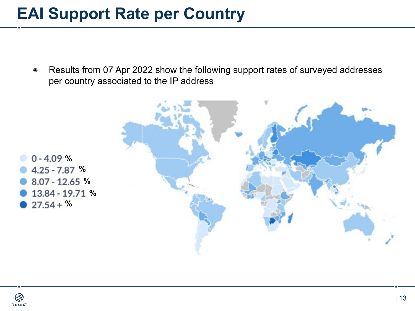#### **EAI Support Rate per Country**

◉ Results from 07 Apr 2022 show the following support rates of surveyed addresses per country associated to the IP address





**ICANN** 

**%**

 $27.54 + %$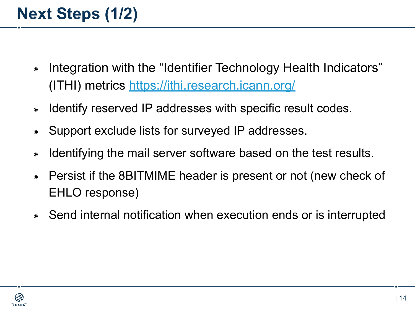## **Next Steps (1/2)**

- ◉ Integration with the "Identifier Technology Health Indicators" (ITHI) metrics <https://ithi.research.icann.org/>
- Identify reserved IP addresses with specific result codes.
- Support exclude lists for surveyed IP addresses.
- Identifying the mail server software based on the test results.
- Persist if the 8BITMIME header is present or not (new check of EHLO response)
- Send internal notification when execution ends or is interrupted

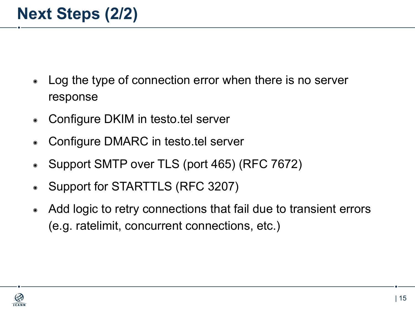- Log the type of connection error when there is no server response
- Configure DKIM in testo.tel server
- Configure DMARC in testo.tel server
- Support SMTP over TLS (port 465) (RFC 7672)
- Support for STARTTLS (RFC 3207)
- Add logic to retry connections that fail due to transient errors (e.g. ratelimit, concurrent connections, etc.)